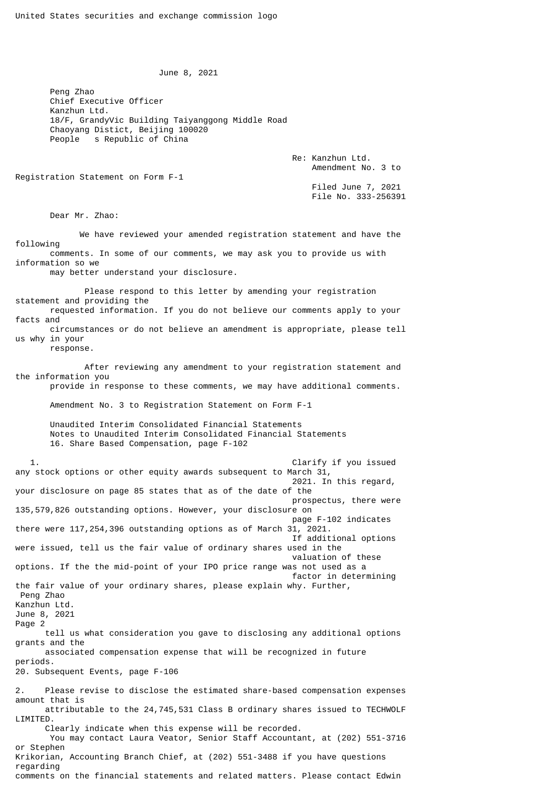June 8, 2021

 Peng Zhao Chief Executive Officer Kanzhun Ltd. 18/F, GrandyVic Building Taiyanggong Middle Road Chaoyang Distict, Beijing 100020 People s Republic of China

> Re: Kanzhun Ltd. Amendment No. 3 to

Registration Statement on Form F-1

 Filed June 7, 2021 File No. 333-256391

Dear Mr. Zhao:

 We have reviewed your amended registration statement and have the following comments. In some of our comments, we may ask you to provide us with

may better understand your disclosure.

 Please respond to this letter by amending your registration statement and providing the requested information. If you do not believe our comments apply to your

facts and

information so we

 circumstances or do not believe an amendment is appropriate, please tell us why in your

response.

 After reviewing any amendment to your registration statement and the information you provide in response to these comments, we may have additional comments.

Amendment No. 3 to Registration Statement on Form F-1

 Unaudited Interim Consolidated Financial Statements Notes to Unaudited Interim Consolidated Financial Statements 16. Share Based Compensation, page F-102

 1. Clarify if you issued any stock options or other equity awards subsequent to March 31, 2021. In this regard, your disclosure on page 85 states that as of the date of the prospectus, there were 135,579,826 outstanding options. However, your disclosure on page F-102 indicates there were 117,254,396 outstanding options as of March 31, 2021. If additional options were issued, tell us the fair value of ordinary shares used in the valuation of these options. If the the mid-point of your IPO price range was not used as a factor in determining the fair value of your ordinary shares, please explain why. Further, Peng Zhao Kanzhun Ltd. June 8, 2021 Page 2 tell us what consideration you gave to disclosing any additional options grants and the associated compensation expense that will be recognized in future periods. 20. Subsequent Events, page F-106 2. Please revise to disclose the estimated share-based compensation expenses amount that is attributable to the 24,745,531 Class B ordinary shares issued to TECHWOLF LIMITED. Clearly indicate when this expense will be recorded. You may contact Laura Veator, Senior Staff Accountant, at (202) 551-3716 or Stephen Krikorian, Accounting Branch Chief, at (202) 551-3488 if you have questions regarding

comments on the financial statements and related matters. Please contact Edwin